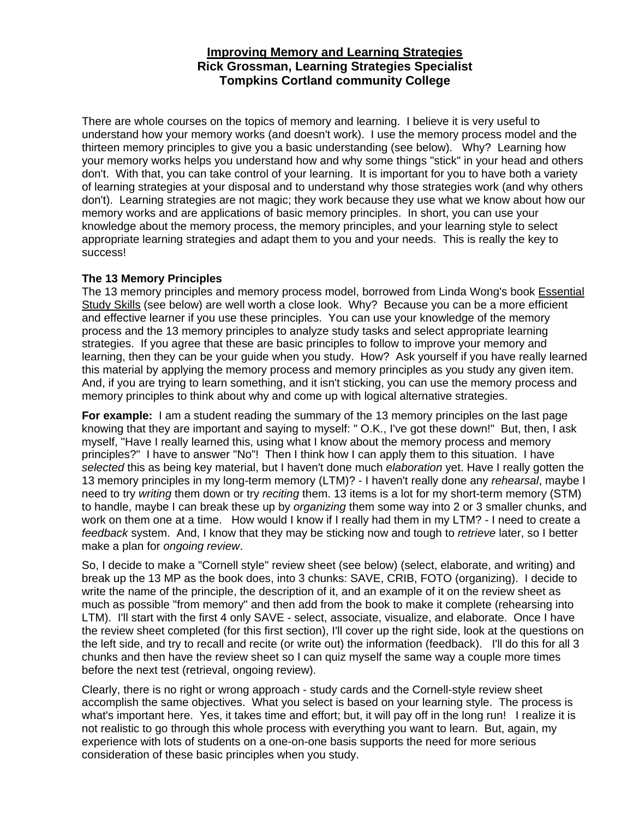# **Improving Memory and Learning Strategies Rick Grossman, Learning Strategies Specialist Tompkins Cortland community College**

There are whole courses on the topics of memory and learning. I believe it is very useful to understand how your memory works (and doesn't work). I use the memory process model and the thirteen memory principles to give you a basic understanding (see below). Why? Learning how your memory works helps you understand how and why some things "stick" in your head and others don't. With that, you can take control of your learning. It is important for you to have both a variety of learning strategies at your disposal and to understand why those strategies work (and why others don't). Learning strategies are not magic; they work because they use what we know about how our memory works and are applications of basic memory principles. In short, you can use your knowledge about the memory process, the memory principles, and your learning style to select appropriate learning strategies and adapt them to you and your needs. This is really the key to success!

#### **The 13 Memory Principles**

The 13 memory principles and memory process model, borrowed from Linda Wong's book Essential Study Skills (see below) are well worth a close look. Why? Because you can be a more efficient and effective learner if you use these principles. You can use your knowledge of the memory process and the 13 memory principles to analyze study tasks and select appropriate learning strategies. If you agree that these are basic principles to follow to improve your memory and learning, then they can be your guide when you study. How? Ask yourself if you have really learned this material by applying the memory process and memory principles as you study any given item. And, if you are trying to learn something, and it isn't sticking, you can use the memory process and memory principles to think about why and come up with logical alternative strategies.

**For example:** I am a student reading the summary of the 13 memory principles on the last page knowing that they are important and saying to myself: " O.K., I've got these down!" But, then, I ask myself, "Have I really learned this, using what I know about the memory process and memory principles?" I have to answer "No"! Then I think how I can apply them to this situation. I have *selected* this as being key material, but I haven't done much *elaboration* yet. Have I really gotten the 13 memory principles in my long-term memory (LTM)? - I haven't really done any *rehearsal*, maybe I need to try *writing* them down or try *reciting* them. 13 items is a lot for my short-term memory (STM) to handle, maybe I can break these up by *organizing* them some way into 2 or 3 smaller chunks, and work on them one at a time. How would I know if I really had them in my LTM? - I need to create a *feedback* system. And, I know that they may be sticking now and tough to *retrieve* later, so I better make a plan for *ongoing review*.

So, I decide to make a "Cornell style" review sheet (see below) (select, elaborate, and writing) and break up the 13 MP as the book does, into 3 chunks: SAVE, CRIB, FOTO (organizing). I decide to write the name of the principle, the description of it, and an example of it on the review sheet as much as possible "from memory" and then add from the book to make it complete (rehearsing into LTM). I'll start with the first 4 only SAVE - select, associate, visualize, and elaborate. Once I have the review sheet completed (for this first section), I'll cover up the right side, look at the questions on the left side, and try to recall and recite (or write out) the information (feedback). I'll do this for all 3 chunks and then have the review sheet so I can quiz myself the same way a couple more times before the next test (retrieval, ongoing review).

Clearly, there is no right or wrong approach - study cards and the Cornell-style review sheet accomplish the same objectives. What you select is based on your learning style. The process is what's important here. Yes, it takes time and effort; but, it will pay off in the long run! I realize it is not realistic to go through this whole process with everything you want to learn. But, again, my experience with lots of students on a one-on-one basis supports the need for more serious consideration of these basic principles when you study.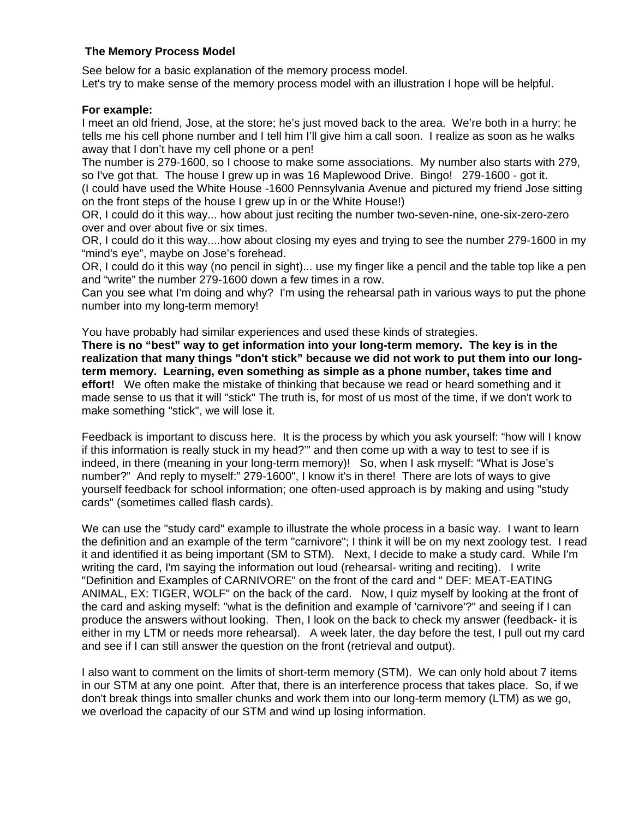# **The Memory Process Model**

See below for a basic explanation of the memory process model. Let's try to make sense of the memory process model with an illustration I hope will be helpful.

#### **For example:**

I meet an old friend, Jose, at the store; he's just moved back to the area. We're both in a hurry; he tells me his cell phone number and I tell him I'll give him a call soon. I realize as soon as he walks away that I don't have my cell phone or a pen!

The number is 279-1600, so I choose to make some associations. My number also starts with 279, so I've got that. The house I grew up in was 16 Maplewood Drive. Bingo! 279-1600 - got it.

(I could have used the White House -1600 Pennsylvania Avenue and pictured my friend Jose sitting on the front steps of the house I grew up in or the White House!)

OR, I could do it this way... how about just reciting the number two-seven-nine, one-six-zero-zero over and over about five or six times.

OR, I could do it this way....how about closing my eyes and trying to see the number 279-1600 in my "mind's eye", maybe on Jose's forehead.

OR, I could do it this way (no pencil in sight)... use my finger like a pencil and the table top like a pen and "write" the number 279-1600 down a few times in a row.

Can you see what I'm doing and why? I'm using the rehearsal path in various ways to put the phone number into my long-term memory!

You have probably had similar experiences and used these kinds of strategies.

**There is no "best" way to get information into your long-term memory. The key is in the realization that many things "don't stick" because we did not work to put them into our longterm memory. Learning, even something as simple as a phone number, takes time and effort!** We often make the mistake of thinking that because we read or heard something and it made sense to us that it will "stick" The truth is, for most of us most of the time, if we don't work to make something "stick", we will lose it.

Feedback is important to discuss here. It is the process by which you ask yourself: "how will I know if this information is really stuck in my head?'" and then come up with a way to test to see if is indeed, in there (meaning in your long-term memory)! So, when I ask myself: "What is Jose's number?" And reply to myself:" 279-1600", I know it's in there! There are lots of ways to give yourself feedback for school information; one often-used approach is by making and using "study cards" (sometimes called flash cards).

We can use the "study card" example to illustrate the whole process in a basic way. I want to learn the definition and an example of the term "carnivore"; I think it will be on my next zoology test. I read it and identified it as being important (SM to STM). Next, I decide to make a study card. While I'm writing the card, I'm saying the information out loud (rehearsal- writing and reciting). I write "Definition and Examples of CARNIVORE" on the front of the card and " DEF: MEAT-EATING ANIMAL, EX: TIGER, WOLF" on the back of the card. Now, I quiz myself by looking at the front of the card and asking myself: "what is the definition and example of 'carnivore'?" and seeing if I can produce the answers without looking. Then, I look on the back to check my answer (feedback- it is either in my LTM or needs more rehearsal). A week later, the day before the test, I pull out my card and see if I can still answer the question on the front (retrieval and output).

I also want to comment on the limits of short-term memory (STM). We can only hold about 7 items in our STM at any one point. After that, there is an interference process that takes place. So, if we don't break things into smaller chunks and work them into our long-term memory (LTM) as we go, we overload the capacity of our STM and wind up losing information.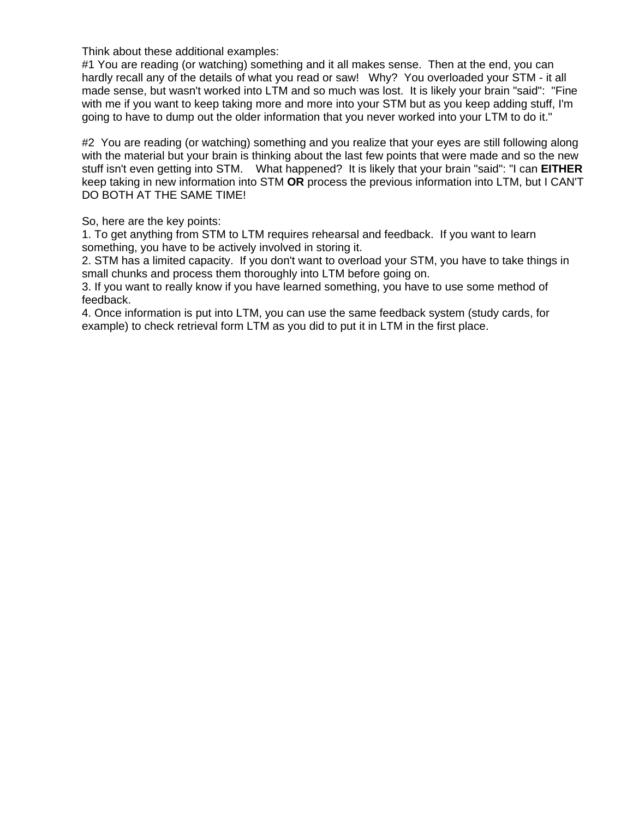Think about these additional examples:

#1 You are reading (or watching) something and it all makes sense. Then at the end, you can hardly recall any of the details of what you read or saw! Why? You overloaded your STM - it all made sense, but wasn't worked into LTM and so much was lost. It is likely your brain "said": "Fine with me if you want to keep taking more and more into your STM but as you keep adding stuff, I'm going to have to dump out the older information that you never worked into your LTM to do it."

#2 You are reading (or watching) something and you realize that your eyes are still following along with the material but your brain is thinking about the last few points that were made and so the new stuff isn't even getting into STM. What happened? It is likely that your brain "said": "I can **EITHER** keep taking in new information into STM **OR** process the previous information into LTM, but I CAN'T DO BOTH AT THE SAME TIME!

So, here are the key points:

1. To get anything from STM to LTM requires rehearsal and feedback. If you want to learn something, you have to be actively involved in storing it.

2. STM has a limited capacity. If you don't want to overload your STM, you have to take things in small chunks and process them thoroughly into LTM before going on.

3. If you want to really know if you have learned something, you have to use some method of feedback.

4. Once information is put into LTM, you can use the same feedback system (study cards, for example) to check retrieval form LTM as you did to put it in LTM in the first place.